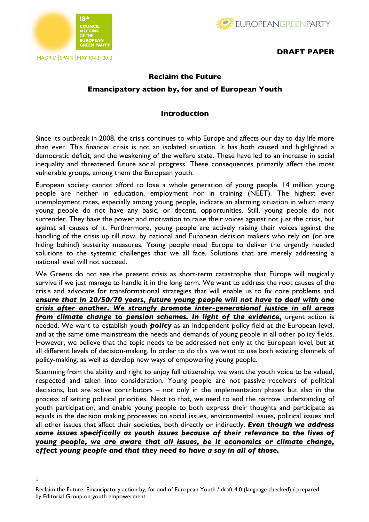



### **DRAFT PAPER**

# **Reclaim the Future Emancipatory action by, for and of European Youth**

### **Introduction**

Since its outbreak in 2008, the crisis continues to whip Europe and affects our day to day life more than ever. This financial crisis is not an isolated situation. It has both caused and highlighted a democratic deficit, and the weakening of the welfare state. These have led to an increase in social inequality and threatened future social progress. These consequences primarily affect the most vulnerable groups, among them the European youth.

European society cannot afford to lose a whole generation of young people. 14 million young people are neither in education, employment nor in training (NEET). The highest ever unemployment rates, especially among young people, indicate an alarming situation in which many young people do not have any basic, or decent, opportunities. Still, young people do not surrender. They have the power and motivation to raise their voices against not just the crisis, but against all causes of it. Furthermore, young people are actively raising their voices against the handling of the crisis up till now, by national and European decision makers who rely on (or are hiding behind) austerity measures. Young people need Europe to deliver the urgently needed solutions to the systemic challenges that we all face. Solutions that are merely addressing a national level will not succeed.

We Greens do not see the present crisis as short-term catastrophe that Europe will magically survive if we just manage to handle it in the long term. We want to address the root causes of the crisis and advocate for transformational strategies that will enable us to fix core problems and *ensure that in 20/50/70 years, future young people will not have to deal with one crisis after another. We strongly promote inter-generational justice in all areas from climate change to pension schemes. In light of the evidence,* urgent action is needed. We want to establish youth *policy* as an independent policy field at the European level, and at the same time mainstream the needs and demands of young people in all other policy fields. However, we believe that the topic needs to be addressed not only at the European level, but at all different levels of decision-making. In order to do this we want to use both existing channels of policy-making, as well as develop new ways of empowering young people.

Stemming from the ability and right to enjoy full citizenship, we want the youth voice to be valued, respected and taken into consideration. Young people are not passive receivers of political decisions, but are active contributors  $-$  not only in the implementation phases but also in the process of setting political priorities. Next to that, we need to end the narrow understanding of youth participation, and enable young people to both express their thoughts and participate as equals in the decision making processes on social issues, environmental issues, political issues and all other issues that affect their societies, both directly or indirectly. *Even though we address some issues specifically as youth issues because of their relevance to the lives of young people, we are aware that all issues, be it economics or climate change, effect young people and that they need to have a say in all of those.*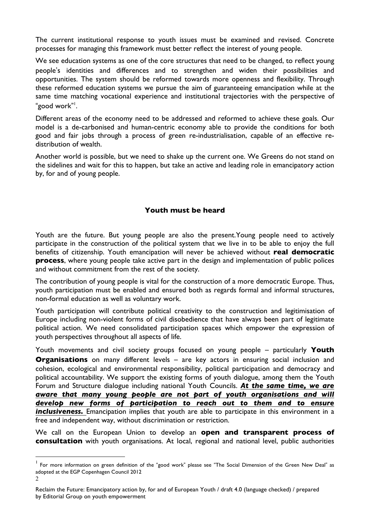The current institutional response to youth issues must be examined and revised. Concrete processes for managing this framework must better reflect the interest of young people.

We see education systems as one of the core structures that need to be changed, to reflect young people's identities and differences and to strengthen and widen their possibilities and opportunities. The system should be reformed towards more openness and flexibility. Through these reformed education systems we pursue the aim of guaranteeing emancipation while at the same time matching vocational experience and institutional trajectories with the perspective of "good work" 1 .

Different areas of the economy need to be addressed and reformed to achieve these goals. Our model is a de-carbonised and human-centric economy able to provide the conditions for both good and fair jobs through a process of green re-industrialisation, capable of an effective redistribution of wealth.

Another world is possible, but we need to shake up the current one. We Greens do not stand on the sidelines and wait for this to happen, but take an active and leading role in emancipatory action by, for and of young people.

### **Youth must be heard**

Youth are the future. But young people are also the present.Young people need to actively participate in the construction of the political system that we live in to be able to enjoy the full benefits of citizenship. Youth emancipation will never be achieved without **real democratic process**, where young people take active part in the design and implementation of public polices and without commitment from the rest of the society.

The contribution of young people is vital for the construction of a more democratic Europe. Thus, youth participation must be enabled and ensured both as regards formal and informal structures, non-formal education as well as voluntary work.

Youth participation will contribute political creativity to the construction and legitimisation of Europe including non-violent forms of civil disobedience that have always been part of legitimate political action. We need consolidated participation spaces which empower the expression of youth perspectives throughout all aspects of life.

Youth movements and civil society groups focused on young people ‒ particularly **Youth Organisations** on many different levels – are key actors in ensuring social inclusion and cohesion, ecological and environmental responsibility, political participation and democracy and political accountability. We support the existing forms of youth dialogue, among them the Youth Forum and Structure dialogue including national Youth Councils. *At the same time, we are aware that many young people are not part of youth organisations and will develop new forms of participation to reach out to them and to ensure inclusiveness.* Emancipation implies that youth are able to participate in this environment in a free and independent way, without discrimination or restriction.

We call on the European Union to develop an **open and transparent process of consultation** with youth organisations. At local, regional and national level, public authorities

 $\overline{a}$ 

 $\mathfrak{D}$ <sup>1</sup> For more information on green definition of the "good work" please see "The Social Dimension of the Green New Deal" as adopted at the EGP Copenhagen Council 2012

Reclaim the Future: Emancipatory action by, for and of European Youth / draft 4.0 (language checked) / prepared by Editorial Group on youth empowerment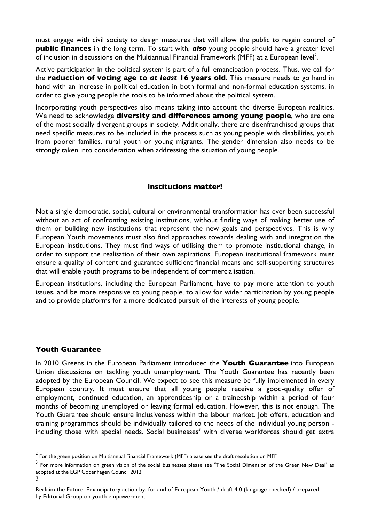must engage with civil society to design measures that will allow the public to regain control of **public finances** in the long term. To start with, *also* young people should have a greater level of inclusion in discussions on the Multiannual Financial Framework (MFF) at a European level<sup>2</sup>.

Active participation in the political system is part of a full emancipation process. Thus, we call for the **reduction of voting age to** *at least* **16 years old**. This measure needs to go hand in hand with an increase in political education in both formal and non-formal education systems, in order to give young people the tools to be informed about the political system.

Incorporating youth perspectives also means taking into account the diverse European realities. We need to acknowledge **diversity and differences among young people**, who are one of the most socially divergent groups in society. Additionally, there are disenfranchised groups that need specific measures to be included in the process such as young people with disabilities, youth from poorer families, rural youth or young migrants. The gender dimension also needs to be strongly taken into consideration when addressing the situation of young people.

### **Institutions matter!**

Not a single democratic, social, cultural or environmental transformation has ever been successful without an act of confronting existing institutions, without finding ways of making better use of them or building new institutions that represent the new goals and perspectives. This is why European Youth movements must also find approaches towards dealing with and integration the European institutions. They must find ways of utilising them to promote institutional change, in order to support the realisation of their own aspirations. European institutional framework must ensure a quality of content and guarantee sufficient financial means and self-supporting structures that will enable youth programs to be independent of commercialisation.

European institutions, including the European Parliament, have to pay more attention to youth issues, and be more responsive to young people, to allow for wider participation by young people and to provide platforms for a more dedicated pursuit of the interests of young people.

# **Youth Guarantee**

 $\overline{a}$ 

In 2010 Greens in the European Parliament introduced the **Youth Guarantee** into European Union discussions on tackling youth unemployment. The Youth Guarantee has recently been adopted by the European Council. We expect to see this measure be fully implemented in every European country. It must ensure that all young people receive a good-quality offer of employment, continued education, an apprenticeship or a traineeship within a period of four months of becoming unemployed or leaving formal education. However, this is not enough. The Youth Guarantee should ensure inclusiveness within the labour market. Job offers, education and training programmes should be individually tailored to the needs of the individual young person including those with special needs. Social businesses<sup>3</sup> with diverse workforces should get extra

 $^2$  For the green position on Multiannual Financial Framework (MFF) please see the draft resolution on MFF

<sup>3</sup> <sup>3</sup> For more information on green vision of the social businesses please see "The Social Dimension of the Green New Deal" as adopted at the EGP Copenhagen Council 2012

Reclaim the Future: Emancipatory action by, for and of European Youth / draft 4.0 (language checked) / prepared by Editorial Group on youth empowerment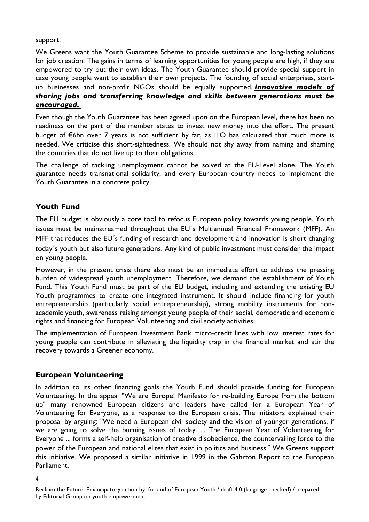support.

We Greens want the Youth Guarantee Scheme to provide sustainable and long-lasting solutions for job creation. The gains in terms of learning opportunities for young people are high, if they are empowered to try out their own ideas. The Youth Guarantee should provide special support in case young people want to establish their own projects. The founding of social enterprises, startup businesses and non-profit NGOs should be equally supported. *Innovative models of sharing jobs and transferring knowledge and skills between generations must be encouraged.* 

Even though the Youth Guarantee has been agreed upon on the European level, there has been no readiness on the part of the member states to invest new money into the effort. The present budget of €6bn over 7 years is not sufficient by far, as ILO has calculated that much more is needed. We criticise this short-sightedness. We should not shy away from naming and shaming the countries that do not live up to their obligations.

The challenge of tackling unemployment cannot be solved at the EU-Level alone. The Youth guarantee needs transnational solidarity, and every European country needs to implement the Youth Guarantee in a concrete policy.

# **Youth Fund**

The EU budget is obviously a core tool to refocus European policy towards young people. Youth issues must be mainstreamed throughout the EU´s Multiannual Financial Framework (MFF). An MFF that reduces the EU´s funding of research and development and innovation is short changing today´s youth but also future generations. Any kind of public investment must consider the impact on young people.

However, in the present crisis there also must be an immediate effort to address the pressing burden of widespread youth unemployment. Therefore, we demand the establishment of Youth Fund. This Youth Fund must be part of the EU budget, including and extending the existing EU Youth programmes to create one integrated instrument. It should include financing for youth entrepreneurship (particularly social entrepreneurship), strong mobility instruments for nonacademic youth, awareness raising amongst young people of their social, democratic and economic rights and financing for European Volunteering and civil society activities.

The implementation of European Investment Bank micro-credit lines with low interest rates for young people can contribute in alleviating the liquidity trap in the financial market and stir the recovery towards a Greener economy.

# **European Volunteering**

In addition to its other financing goals the Youth Fund should provide funding for European Volunteering. In the appeal "We are Europe! Manifesto for re-building Europe from the bottom up" many renowned European citizens and leaders have called for a European Year of Volunteering for Everyone, as a response to the European crisis. The initiators explained their proposal by arguing: "We need a European civil society and the vision of younger generations, if we are going to solve the burning issues of today. ... The European Year of Volunteering for Everyone ... forms a self-help organisation of creative disobedience, the countervailing force to the power of the European and national elites that exist in politics and business." We Greens support this initiative. We proposed a similar initiative in 1999 in the Gahrton Report to the European Parliament.

<sup>4</sup>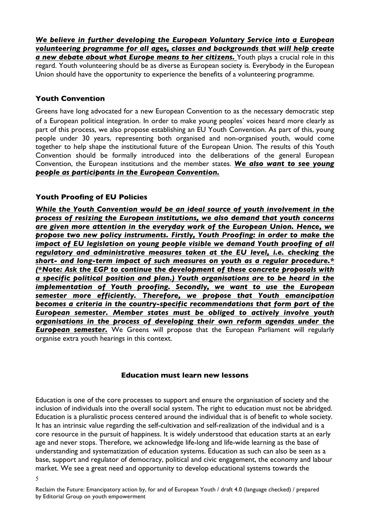*We believe in further developing the European Voluntary Service into a European volunteering programme for all ages, classes and backgrounds that will help create a new debate about what Europe means to her citizens.* Youth plays a crucial role in this regard. Youth volunteering should be as diverse as European society is. Everybody in the European Union should have the opportunity to experience the benefits of a volunteering programme.

# **Youth Convention**

Greens have long advocated for a new European Convention to as the necessary democratic step of a European political integration. In order to make young peoples' voices heard more clearly as part of this process, we also propose establishing an EU Youth Convention. As part of this, young people under 30 years, representing both organised and non-organised youth, would come together to help shape the institutional future of the European Union. The results of this Youth Convention should be formally introduced into the deliberations of the general European Convention, the European institutions and the member states. *We also want to see young people as participants in the European Convention.*

# **Youth Proofing of EU Policies**

*While the Youth Convention would be an ideal source of youth involvement in the process of resizing the European institutions, we also demand that youth concerns are given more attention in the everyday work of the European Union. Hence, we propose two new policy instruments. Firstly, Youth Proofing: in order to make the impact of EU legislation on young people visible we demand Youth proofing of all regulatory and administrative measures taken at the EU level, i.e. checking the short- and long-term impact of such measures on youth as a regular procedure.\* (\*Note: Ask the EGP to continue the development of these concrete proposals with a specific political position and plan.) Youth organisations are to be heard in the implementation of Youth proofing. Secondly, we want to use the European semester more efficiently. Therefore, we propose that Youth emancipation becomes a criteria in the country-specific recommendations that form part of the European semester. Member states must be obliged to actively involve youth organisations in the process of developing their own reform agendas under the*  **European semester.** We Greens will propose that the European Parliament will regularly organise extra youth hearings in this context.

#### **Education must learn new lessons**

Education is one of the core processes to support and ensure the organisation of society and the inclusion of individuals into the overall social system. The right to education must not be abridged. Education is a pluralistic process centered around the individual that is of benefit to whole society. It has an intrinsic value regarding the self-cultivation and self-realization of the individual and is a core resource in the pursuit of happiness. It is widely understood that education starts at an early age and never stops. Therefore, we acknowledge life-long and life-wide learning as the base of understanding and systematization of education systems. Education as such can also be seen as a base, support and regulator of democracy, political and civic engagement, the economy and labour market. We see a great need and opportunity to develop educational systems towards the

<sup>5</sup>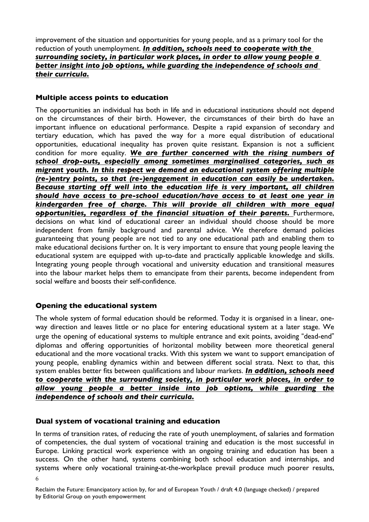improvement of the situation and opportunities for young people, and as a primary tool for the reduction of youth unemployment. *In addition, schools need to cooperate with the surrounding society, in particular work places, in order to allow young people a better insight into job options, while guarding the independence of schools and their curricula.*

### **Multiple access points to education**

The opportunities an individual has both in life and in educational institutions should not depend on the circumstances of their birth. However, the circumstances of their birth do have an important influence on educational performance. Despite a rapid expansion of secondary and tertiary education, which has paved the way for a more equal distribution of educational opportunities, educational inequality has proven quite resistant. Expansion is not a sufficient condition for more equality. *We are further concerned with the rising numbers of school drop-outs, especially among sometimes marginalised categories, such as migrant youth. In this respect we demand an educational system offering multiple (re-)entry points, so that (re-)engagement in education can easily be undertaken. Because starting off well into the education life is very important, all children should have access to pre-school education/have access to at least one year in kindergarden free of charge. This will provide all children with more equal*  opportunities, regardless of the financial situation of their parents. Furthermore, decisions on what kind of educational career an individual should choose should be more independent from family background and parental advice. We therefore demand policies guaranteeing that young people are not tied to any one educational path and enabling them to make educational decisions further on. It is very important to ensure that young people leaving the educational system are equipped with up-to-date and practically applicable knowledge and skills. Integrating young people through vocational and university education and transitional measures into the labour market helps them to emancipate from their parents, become independent from social welfare and boosts their self-confidence.

# **Opening the educational system**

The whole system of formal education should be reformed. Today it is organised in a linear, oneway direction and leaves little or no place for entering educational system at a later stage. We urge the opening of educational systems to multiple entrance and exit points, avoiding "dead-end" diplomas and offering opportunities of horizontal mobility between more theoretical general educational and the more vocational tracks. With this system we want to support emancipation of young people, enabling dynamics within and between different social strata. Next to that, this system enables better fits between qualifications and labour markets. *In addition, schools need to cooperate with the surrounding society, in particular work places, in order to allow young people a better inside into job options, while guarding the independence of schools and their curricula.*

# **Dual system of vocational training and education**

In terms of transition rates, of reducing the rate of youth unemployment, of salaries and formation of competencies, the dual system of vocational training and education is the most successful in Europe. Linking practical work experience with an ongoing training and education has been a success. On the other hand, systems combining both school education and internships, and systems where only vocational training-at-the-workplace prevail produce much poorer results,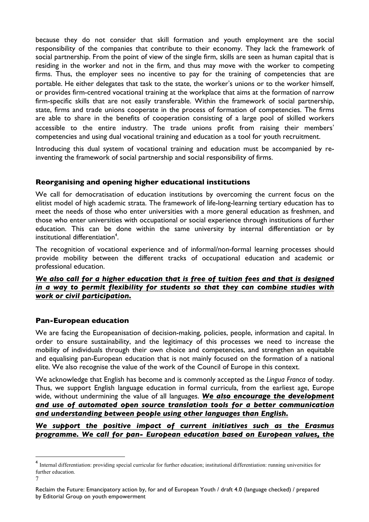because they do not consider that skill formation and youth employment are the social responsibility of the companies that contribute to their economy. They lack the framework of social partnership. From the point of view of the single firm, skills are seen as human capital that is residing in the worker and not in the firm, and thus may move with the worker to competing firms. Thus, the employer sees no incentive to pay for the training of competencies that are portable. He either delegates that task to the state, the worker's unions or to the worker himself, or provides firm-centred vocational training at the workplace that aims at the formation of narrow firm-specific skills that are not easily transferable. Within the framework of social partnership, state, firms and trade unions cooperate in the process of formation of competencies. The firms are able to share in the benefits of cooperation consisting of a large pool of skilled workers accessible to the entire industry. The trade unions profit from raising their members' competencies and using dual vocational training and education as a tool for youth recruitment.

Introducing this dual system of vocational training and education must be accompanied by reinventing the framework of social partnership and social responsibility of firms.

# **Reorganising and opening higher educational institutions**

We call for democratisation of education institutions by overcoming the current focus on the elitist model of high academic strata. The framework of life-long-learning tertiary education has to meet the needs of those who enter universities with a more general education as freshmen, and those who enter universities with occupational or social experience through institutions of further education. This can be done within the same university by internal differentiation or by institutional differentiation<sup>4</sup>.

The recognition of vocational experience and of informal/non-formal learning processes should provide mobility between the different tracks of occupational education and academic or professional education.

# *We also call for a higher education that is free of tuition fees and that is designed in a way to permit flexibility for students so that they can combine studies with work or civil participation.*

# **Pan-European education**

 $\overline{a}$ 

We are facing the Europeanisation of decision-making, policies, people, information and capital. In order to ensure sustainability, and the legitimacy of this processes we need to increase the mobility of individuals through their own choice and competencies, and strengthen an equitable and equalising pan-European education that is not mainly focused on the formation of a national elite. We also recognise the value of the work of the Council of Europe in this context.

We acknowledge that English has become and is commonly accepted as the *Lingua Franca* of today. Thus, we support English language education in formal curricula, from the earliest age, Europe wide, without undermining the value of all languages. *We also encourage the development and use of automated open source translation tools for a better communication and understanding between people using other languages than English.*

# *We support the positive impact of current initiatives such as the Erasmus programme. We call for pan- European education based on European values, the*

<sup>7</sup> <sup>4</sup> Internal differentiation: providing special curricular for further education; institutional differentiation: running universities for further education.

Reclaim the Future: Emancipatory action by, for and of European Youth / draft 4.0 (language checked) / prepared by Editorial Group on youth empowerment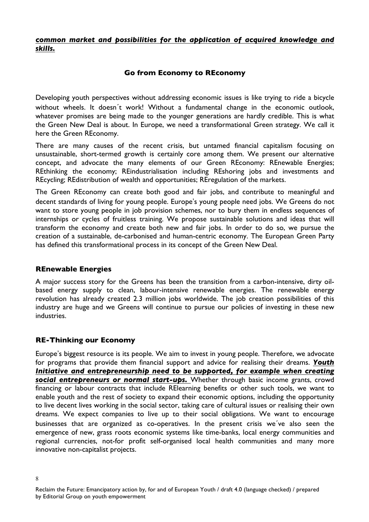### *common market and possibilities for the application of acquired knowledge and skills.*

# **Go from Economy to REconomy**

Developing youth perspectives without addressing economic issues is like trying to ride a bicycle without wheels. It doesn´t work! Without a fundamental change in the economic outlook, whatever promises are being made to the younger generations are hardly credible. This is what the Green New Deal is about. In Europe, we need a transformational Green strategy. We call it here the Green REconomy.

There are many causes of the recent crisis, but untamed financial capitalism focusing on unsustainable, short-termed growth is certainly core among them. We present our alternative concept, and advocate the many elements of our Green REconomy: REnewable Energies; REthinking the economy; REindustrialisation including REshoring jobs and investments and REcycling; REdistribution of wealth and opportunities; REregulation of the markets.

The Green REconomy can create both good and fair jobs, and contribute to meaningful and decent standards of living for young people. Europe's young people need jobs. We Greens do not want to store young people in job provision schemes, nor to bury them in endless sequences of internships or cycles of fruitless training. We propose sustainable solutions and ideas that will transform the economy and create both new and fair jobs. In order to do so, we pursue the creation of a sustainable, de-carbonised and human-centric economy. The European Green Party has defined this transformational process in its concept of the Green New Deal.

#### **REnewable Energies**

A major success story for the Greens has been the transition from a carbon-intensive, dirty oilbased energy supply to clean, labour-intensive renewable energies. The renewable energy revolution has already created 2.3 million jobs worldwide. The job creation possibilities of this industry are huge and we Greens will continue to pursue our policies of investing in these new industries.

# **RE-Thinking our Economy**

Europe's biggest resource is its people. We aim to invest in young people. Therefore, we advocate for programs that provide them financial support and advice for realising their dreams. *Youth Initiative and entrepreneurship need to be supported, for example when creating social entrepreneurs or normal start-ups.* Whether through basic income grants, crowd financing or labour contracts that include RElearning benefits or other such tools, we want to enable youth and the rest of society to expand their economic options, including the opportunity to live decent lives working in the social sector, taking care of cultural issues or realising their own dreams. We expect companies to live up to their social obligations. We want to encourage businesses that are organized as co-operatives. In the present crisis we´ve also seen the emergence of new, grass roots economic systems like time-banks, local energy communities and regional currencies, not-for profit self-organised local health communities and many more innovative non-capitalist projects.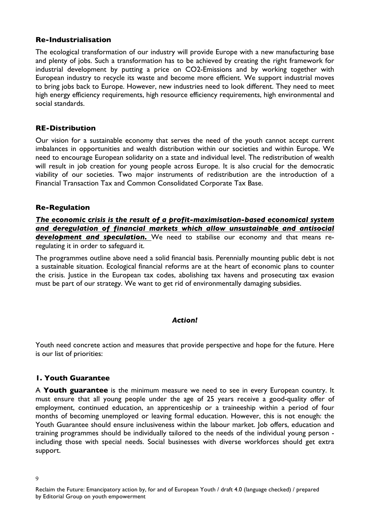### **Re-Industrialisation**

The ecological transformation of our industry will provide Europe with a new manufacturing base and plenty of jobs. Such a transformation has to be achieved by creating the right framework for industrial development by putting a price on CO2-Emissions and by working together with European industry to recycle its waste and become more efficient. We support industrial moves to bring jobs back to Europe. However, new industries need to look different. They need to meet high energy efficiency requirements, high resource efficiency requirements, high environmental and social standards.

### **RE-Distribution**

Our vision for a sustainable economy that serves the need of the youth cannot accept current imbalances in opportunities and wealth distribution within our societies and within Europe. We need to encourage European solidarity on a state and individual level. The redistribution of wealth will result in job creation for young people across Europe. It is also crucial for the democratic viability of our societies. Two major instruments of redistribution are the introduction of a Financial Transaction Tax and Common Consolidated Corporate Tax Base.

### **Re-Regulation**

*The economic crisis is the result of a profit-maximisation-based economical system and deregulation of financial markets which allow unsustainable and antisocial development and speculation.* We need to stabilise our economy and that means reregulating it in order to safeguard it.

The programmes outline above need a solid financial basis. Perennially mounting public debt is not a sustainable situation. Ecological financial reforms are at the heart of economic plans to counter the crisis. Justice in the European tax codes, abolishing tax havens and prosecuting tax evasion must be part of our strategy. We want to get rid of environmentally damaging subsidies.

#### *Action!*

Youth need concrete action and measures that provide perspective and hope for the future. Here is our list of priorities:

# **1. Youth Guarantee**

A **Youth guarantee** is the minimum measure we need to see in every European country. It must ensure that all young people under the age of 25 years receive a good-quality offer of employment, continued education, an apprenticeship or a traineeship within a period of four months of becoming unemployed or leaving formal education. However, this is not enough: the Youth Guarantee should ensure inclusiveness within the labour market. Job offers, education and training programmes should be individually tailored to the needs of the individual young person including those with special needs. Social businesses with diverse workforces should get extra support.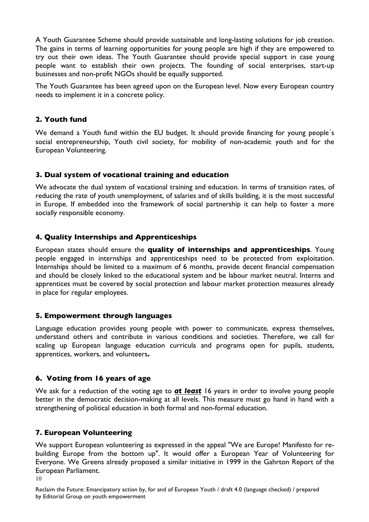A Youth Guarantee Scheme should provide sustainable and long-lasting solutions for job creation. The gains in terms of learning opportunities for young people are high if they are empowered to try out their own ideas. The Youth Guarantee should provide special support in case young people want to establish their own projects. The founding of social enterprises, start-up businesses and non-profit NGOs should be equally supported.

The Youth Guarantee has been agreed upon on the European level. Now every European country needs to implement it in a concrete policy.

# **2. Youth fund**

We demand a Youth fund within the EU budget. It should provide financing for young people's social entrepreneurship, Youth civil society, for mobility of non-academic youth and for the European Volunteering.

### **3. Dual system of vocational training and education**

We advocate the dual system of vocational training and education. In terms of transition rates, of reducing the rate of youth unemployment, of salaries and of skills building, it is the most successful in Europe. If embedded into the framework of social partnership it can help to foster a more socially responsible economy.

# **4. Quality Internships and Apprenticeships**

European states should ensure the **quality of internships and apprenticeships**. Young people engaged in internships and apprenticeships need to be protected from exploitation. Internships should be limited to a maximum of 6 months, provide decent financial compensation and should be closely linked to the educational system and be labour market neutral. Interns and apprentices must be covered by social protection and labour market protection measures already in place for regular employees.

#### **5. Empowerment through languages**

Language education provides young people with power to communicate, express themselves, understand others and contribute in various conditions and societies. Therefore, we call for scaling up European language education curricula and programs open for pupils, students, apprentices, workers, and volunteers**.**

# **6. Voting from 16 years of age**

We ask for a reduction of the voting age to *at least* 16 years in order to involve young people better in the democratic decision-making at all levels. This measure must go hand in hand with a strengthening of political education in both formal and non-formal education.

# **7. European Volunteering**

We support European volunteering as expressed in the appeal "We are Europe! Manifesto for rebuilding Europe from the bottom up". It would offer a European Year of Volunteering for Everyone. We Greens already proposed a similar initiative in 1999 in the Gahrton Report of the European Parliament.